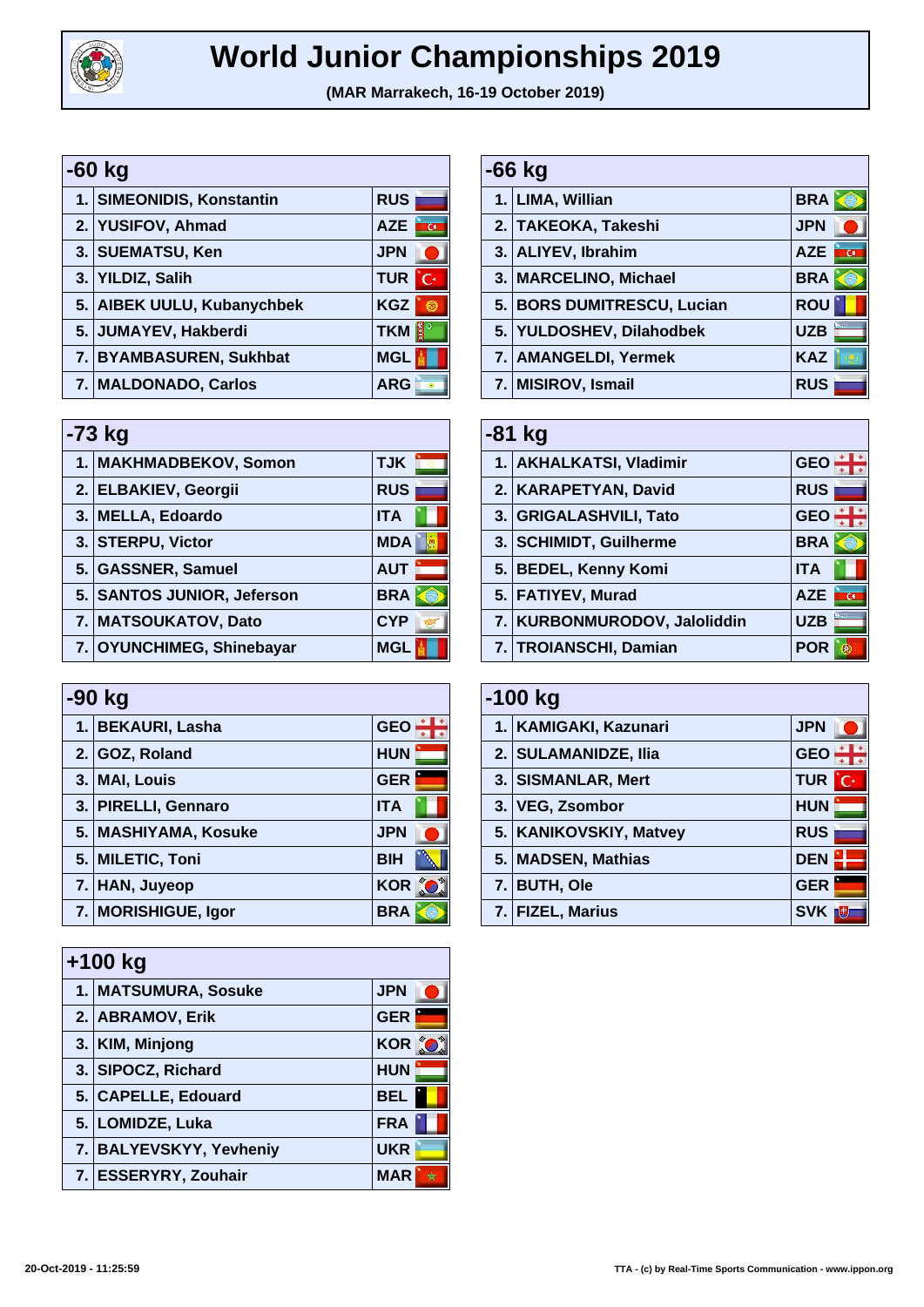

## **World Junior Championships 2019**

**(MAR Marrakech, 16-19 October 2019)**

| -60 kg                     |                              |  |
|----------------------------|------------------------------|--|
| 1. SIMEONIDIS, Konstantin  | <b>RUS</b>                   |  |
| 2. YUSIFOV, Ahmad          | <b>AZE</b><br>$\overline{G}$ |  |
| 3. SUEMATSU, Ken           | <b>JPN</b>                   |  |
| 3. YILDIZ, Salih           | <b>TUR</b><br>'C·            |  |
| 5. AIBEK UULU, Kubanychbek | <b>KGZ</b>                   |  |
| 5. JUMAYEV, Hakberdi       | ¦≸°<br><b>TKM</b>            |  |
| 7. BYAMBASUREN, Sukhbat    | <b>MGL</b>                   |  |
| 7. MALDONADO, Carlos       | <b>ARG</b>                   |  |

| $-73$ kg |                            |            |
|----------|----------------------------|------------|
|          | 1. MAKHMADBEKOV, Somon     | <b>TJK</b> |
|          | 2. ELBAKIEV, Georgii       | <b>RUS</b> |
|          | 3. MELLA, Edoardo          | <b>ITA</b> |
|          | 3. STERPU, Victor          | <b>MDA</b> |
|          | 5. GASSNER, Samuel         | <b>AUT</b> |
|          | 5. SANTOS JUNIOR, Jeferson | <b>BRA</b> |
|          | 7. MATSOUKATOV, Dato       | <b>CYP</b> |
|          | 7. OYUNCHIMEG, Shinebayar  | <b>MGL</b> |

| -90 kg |                      |              |
|--------|----------------------|--------------|
|        | 1. BEKAURI, Lasha    | <b>GEO</b>   |
|        | 2. GOZ, Roland       | <b>HUN</b>   |
|        | 3. MAI, Louis        | <b>GER</b>   |
|        | 3. PIRELLI, Gennaro  | <b>ITA</b>   |
|        | 5. MASHIYAMA, Kosuke | <b>JPN</b>   |
|        | 5. MILETIC, Toni     | <b>BIH</b>   |
|        | 7. HAN, Juyeop       | KOR <b>K</b> |
|        | 7. MORISHIGUE, Igor  | <b>BRA</b>   |

| $+100$ kg |                         |            |
|-----------|-------------------------|------------|
|           | 1. MATSUMURA, Sosuke    | <b>JPN</b> |
|           | 2. ABRAMOV, Erik        | <b>GER</b> |
|           | 3. KIM, Minjong         | KOR O      |
|           | 3. SIPOCZ, Richard      | <b>HUN</b> |
|           | 5. CAPELLE, Edouard     | <b>BEL</b> |
|           | 5. LOMIDZE, Luka        | <b>FRA</b> |
|           | 7. BALYEVSKYY, Yevheniy | <b>UKR</b> |
|           | 7. ESSERYRY, Zouhair    | <b>MAR</b> |

| -66 kg |                            |            |
|--------|----------------------------|------------|
|        | 1. LIMA, Willian           | <b>BRA</b> |
|        | 2. TAKEOKA, Takeshi        | <b>JPN</b> |
|        | 3. ALIYEV, Ibrahim         | <b>AZE</b> |
|        | 3. MARCELINO, Michael      | <b>BRA</b> |
|        | 5. BORS DUMITRESCU, Lucian | <b>ROU</b> |
|        | 5. YULDOSHEV, Dilahodbek   | <b>UZB</b> |
|        | 7.   AMANGELDI, Yermek     | <b>KAZ</b> |
|        | 7. MISIROV, Ismail         | <b>RUS</b> |

| -81 kg |                              |            |  |
|--------|------------------------------|------------|--|
|        | 1. AKHALKATSI, Vladimir      | <b>GEO</b> |  |
|        | 2. KARAPETYAN, David         | <b>RUS</b> |  |
|        | 3. GRIGALASHVILI, Tato       | <b>GEO</b> |  |
|        | 3. SCHIMIDT, Guilherme       | <b>BRA</b> |  |
|        | 5. BEDEL, Kenny Komi         | <b>ITA</b> |  |
|        | 5. FATIYEV, Murad            | <b>AZE</b> |  |
|        | 7. KURBONMURODOV, Jaloliddin | <b>UZB</b> |  |
|        | 7. TROIANSCHI, Damian        | POR        |  |

| $-100$ kg |                        |                   |
|-----------|------------------------|-------------------|
|           | 1. KAMIGAKI, Kazunari  | <b>JPN</b>        |
|           | 2. SULAMANIDZE, Ilia   | <b>GEO</b>        |
|           | 3. SISMANLAR, Mert     | <b>TUR</b><br>'C· |
|           | 3. VEG, Zsombor        | <b>HUN</b>        |
|           | 5. KANIKOVSKIY, Matvey | <b>RUS</b>        |
|           | 5. MADSEN, Mathias     | <b>DEN</b>        |
|           | 7. BUTH, Ole           | <b>GER</b>        |
|           | <b>FIZEL, Marius</b>   | <b>SVK</b>        |

| 20-Oct-2019 - 11:25:59 |  |  |
|------------------------|--|--|